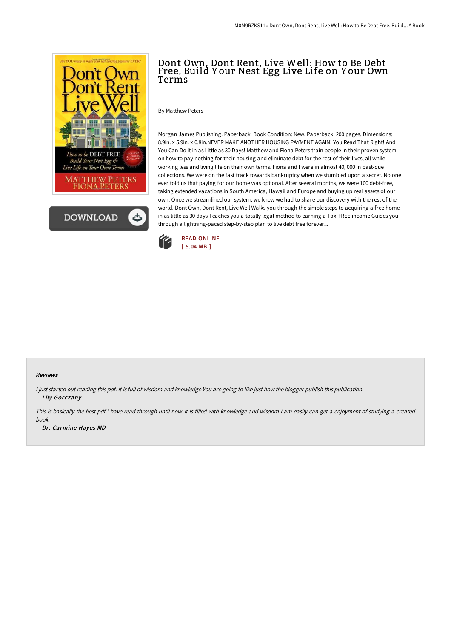



## Dont Own, Dont Rent, Live Well: How to Be Debt Free, Build Y our Nest Egg Live Life on Y our Own Terms

By Matthew Peters

Morgan James Publishing. Paperback. Book Condition: New. Paperback. 200 pages. Dimensions: 8.9in. x 5.9in. x 0.8in.NEVER MAKE ANOTHER HOUSING PAYMENT AGAIN! You Read That Right! And You Can Do it in as Little as 30 Days! Matthew and Fiona Peters train people in their proven system on how to pay nothing for their housing and eliminate debt for the rest of their lives, all while working less and living life on their own terms. Fiona and I were in almost 40, 000 in past-due collections. We were on the fast track towards bankruptcy when we stumbled upon a secret. No one ever told us that paying for our home was optional. After several months, we were 100 debt-free, taking extended vacations in South America, Hawaii and Europe and buying up real assets of our own. Once we streamlined our system, we knew we had to share our discovery with the rest of the world. Dont Own, Dont Rent, Live Well Walks you through the simple steps to acquiring a free home in as little as 30 days Teaches you a totally legal method to earning a Tax-FREE income Guides you through a lightning-paced step-by-step plan to live debt free forever...



## Reviews

I just started out reading this pdf. It is full of wisdom and knowledge You are going to like just how the blogger publish this publication. -- Lily Gorczany

This is basically the best pdf i have read through until now. It is filled with knowledge and wisdom <sup>I</sup> am easily can get <sup>a</sup> enjoyment of studying <sup>a</sup> created book.

-- Dr. Carmine Hayes MD